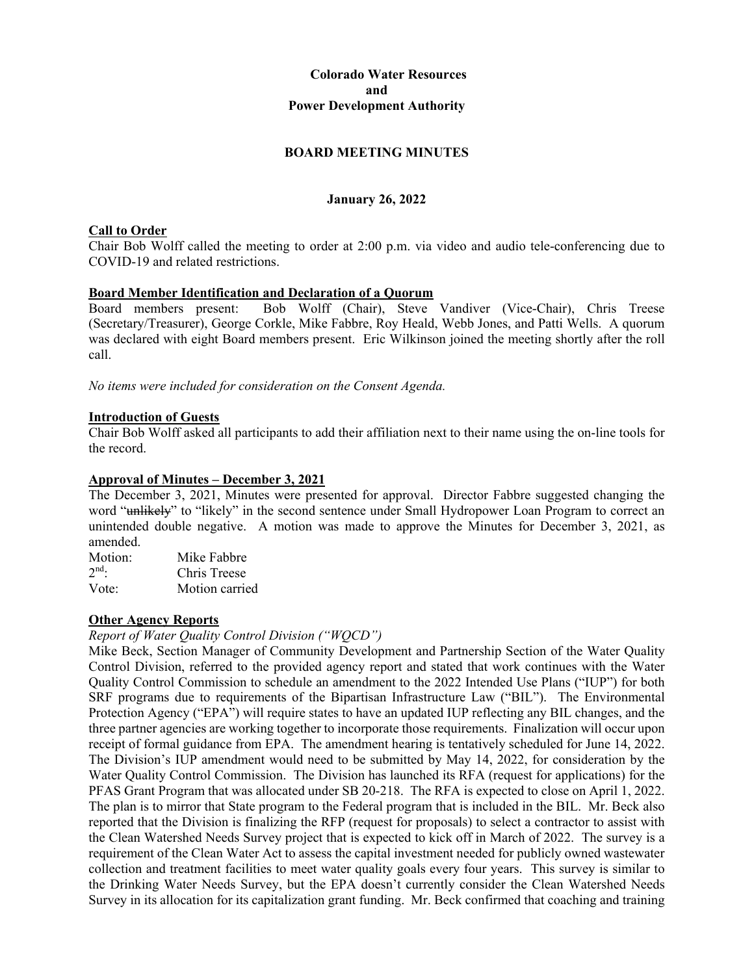# **Colorado Water Resources and Power Development Authority**

# **BOARD MEETING MINUTES**

# **January 26, 2022**

# **Call to Order**

Chair Bob Wolff called the meeting to order at 2:00 p.m. via video and audio tele-conferencing due to COVID-19 and related restrictions.

**Board Member Identification and Declaration of a Quorum**<br>Board members present: Bob Wolff (Chair), Steve Bob Wolff (Chair), Steve Vandiver (Vice-Chair), Chris Treese (Secretary/Treasurer), George Corkle, Mike Fabbre, Roy Heald, Webb Jones, and Patti Wells. A quorum was declared with eight Board members present. Eric Wilkinson joined the meeting shortly after the roll call.

*No items were included for consideration on the Consent Agenda.*

#### **Introduction of Guests**

Chair Bob Wolff asked all participants to add their affiliation next to their name using the on-line tools for the record.

#### **Approval of Minutes – December 3, 2021**

The December 3, 2021, Minutes were presented for approval. Director Fabbre suggested changing the word "unlikely" to "likely" in the second sentence under Small Hydropower Loan Program to correct an unintended double negative. A motion was made to approve the Minutes for December 3, 2021, as amended.

| Motion: | Mike Fabbre    |
|---------|----------------|
| $2nd$ . | Chris Treese   |
| Vote:   | Motion carried |

#### **Other Agency Reports**

#### *Report of Water Quality Control Division ("WQCD")*

Mike Beck, Section Manager of Community Development and Partnership Section of the Water Quality Control Division, referred to the provided agency report and stated that work continues with the Water Quality Control Commission to schedule an amendment to the 2022 Intended Use Plans ("IUP") for both SRF programs due to requirements of the Bipartisan Infrastructure Law ("BIL"). The Environmental Protection Agency ("EPA") will require states to have an updated IUP reflecting any BIL changes, and the three partner agencies are working together to incorporate those requirements. Finalization will occur upon receipt of formal guidance from EPA. The amendment hearing is tentatively scheduled for June 14, 2022. The Division's IUP amendment would need to be submitted by May 14, 2022, for consideration by the Water Quality Control Commission. The Division has launched its RFA (request for applications) for the PFAS Grant Program that was allocated under SB 20-218. The RFA is expected to close on April 1, 2022. The plan is to mirror that State program to the Federal program that is included in the BIL. Mr. Beck also reported that the Division is finalizing the RFP (request for proposals) to select a contractor to assist with the Clean Watershed Needs Survey project that is expected to kick off in March of 2022. The survey is a requirement of the Clean Water Act to assess the capital investment needed for publicly owned wastewater collection and treatment facilities to meet water quality goals every four years. This survey is similar to the Drinking Water Needs Survey, but the EPA doesn't currently consider the Clean Watershed Needs Survey in its allocation for its capitalization grant funding. Mr. Beck confirmed that coaching and training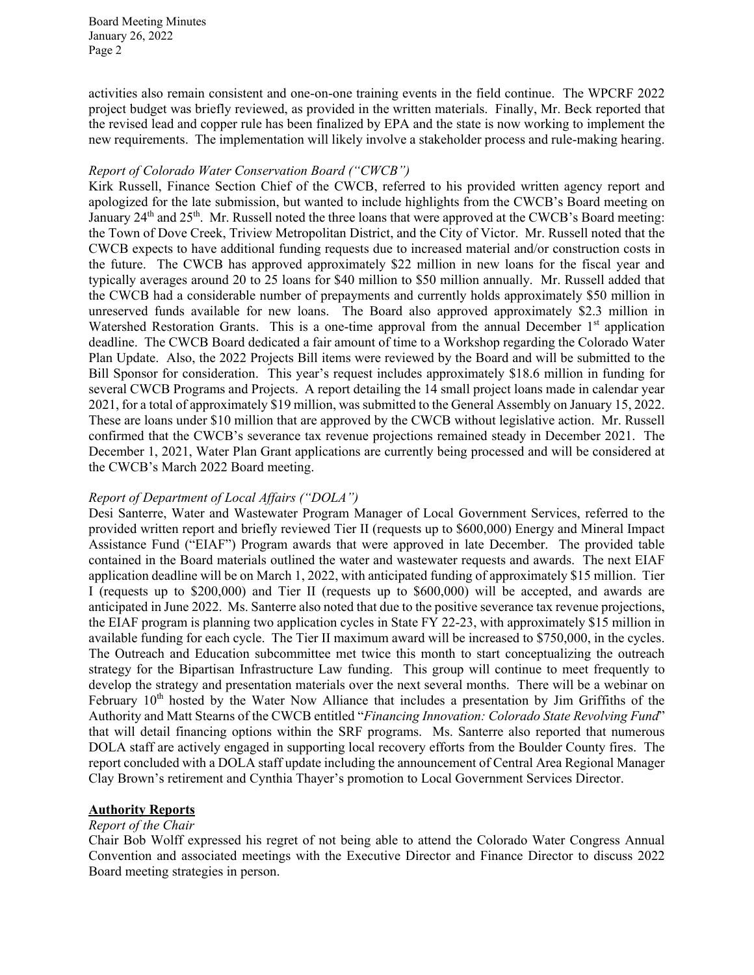activities also remain consistent and one-on-one training events in the field continue. The WPCRF 2022 project budget was briefly reviewed, as provided in the written materials. Finally, Mr. Beck reported that the revised lead and copper rule has been finalized by EPA and the state is now working to implement the new requirements. The implementation will likely involve a stakeholder process and rule-making hearing.

#### *Report of Colorado Water Conservation Board ("CWCB")*

Kirk Russell, Finance Section Chief of the CWCB, referred to his provided written agency report and apologized for the late submission, but wanted to include highlights from the CWCB's Board meeting on January 24<sup>th</sup> and 25<sup>th</sup>. Mr. Russell noted the three loans that were approved at the CWCB's Board meeting: the Town of Dove Creek, Triview Metropolitan District, and the City of Victor. Mr. Russell noted that the CWCB expects to have additional funding requests due to increased material and/or construction costs in the future. The CWCB has approved approximately \$22 million in new loans for the fiscal year and typically averages around 20 to 25 loans for \$40 million to \$50 million annually. Mr. Russell added that the CWCB had a considerable number of prepayments and currently holds approximately \$50 million in unreserved funds available for new loans. The Board also approved approximately \$2.3 million in Watershed Restoration Grants. This is a one-time approval from the annual December 1<sup>st</sup> application deadline. The CWCB Board dedicated a fair amount of time to a Workshop regarding the Colorado Water Plan Update. Also, the 2022 Projects Bill items were reviewed by the Board and will be submitted to the Bill Sponsor for consideration. This year's request includes approximately \$18.6 million in funding for several CWCB Programs and Projects. A report detailing the 14 small project loans made in calendar year 2021, for a total of approximately \$19 million, was submitted to the General Assembly on January 15, 2022. These are loans under \$10 million that are approved by the CWCB without legislative action. Mr. Russell confirmed that the CWCB's severance tax revenue projections remained steady in December 2021. The December 1, 2021, Water Plan Grant applications are currently being processed and will be considered at the CWCB's March 2022 Board meeting.

# *Report of Department of Local Affairs ("DOLA")*

Desi Santerre, Water and Wastewater Program Manager of Local Government Services, referred to the provided written report and briefly reviewed Tier II (requests up to \$600,000) Energy and Mineral Impact Assistance Fund ("EIAF") Program awards that were approved in late December. The provided table contained in the Board materials outlined the water and wastewater requests and awards. The next EIAF application deadline will be on March 1, 2022, with anticipated funding of approximately \$15 million. Tier I (requests up to \$200,000) and Tier II (requests up to \$600,000) will be accepted, and awards are anticipated in June 2022. Ms. Santerre also noted that due to the positive severance tax revenue projections, the EIAF program is planning two application cycles in State FY 22-23, with approximately \$15 million in available funding for each cycle. The Tier II maximum award will be increased to \$750,000, in the cycles. The Outreach and Education subcommittee met twice this month to start conceptualizing the outreach strategy for the Bipartisan Infrastructure Law funding. This group will continue to meet frequently to develop the strategy and presentation materials over the next several months. There will be a webinar on February  $10<sup>th</sup>$  hosted by the Water Now Alliance that includes a presentation by Jim Griffiths of the Authority and Matt Stearns of the CWCB entitled "*Financing Innovation: Colorado State Revolving Fund*" that will detail financing options within the SRF programs. Ms. Santerre also reported that numerous DOLA staff are actively engaged in supporting local recovery efforts from the Boulder County fires. The report concluded with a DOLA staff update including the announcement of Central Area Regional Manager Clay Brown's retirement and Cynthia Thayer's promotion to Local Government Services Director.

# **Authority Reports**

# *Report of the Chair*

Chair Bob Wolff expressed his regret of not being able to attend the Colorado Water Congress Annual Convention and associated meetings with the Executive Director and Finance Director to discuss 2022 Board meeting strategies in person.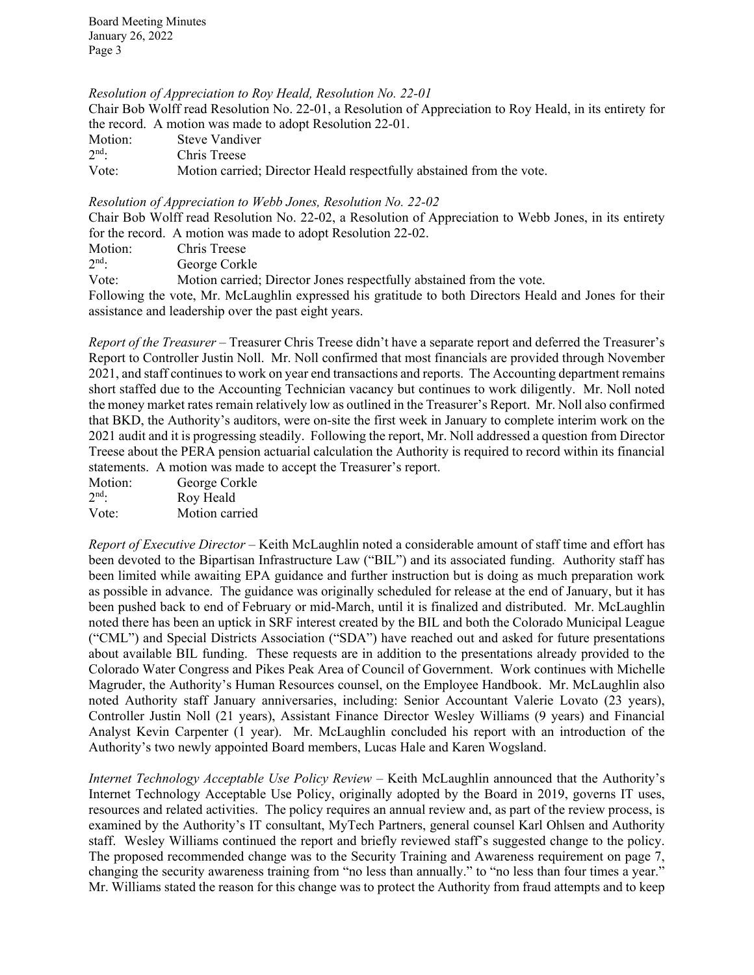*Resolution of Appreciation to Roy Heald, Resolution No. 22-01*

Chair Bob Wolff read Resolution No. 22-01, a Resolution of Appreciation to Roy Heald, in its entirety for the record. A motion was made to adopt Resolution 22-01.

| Motion: | Steve Vandiver                                                       |
|---------|----------------------------------------------------------------------|
| $2nd$ : | Chris Treese                                                         |
| Vote:   | Motion carried; Director Heald respectfully abstained from the vote. |

#### *Resolution of Appreciation to Webb Jones, Resolution No. 22-02*

Chair Bob Wolff read Resolution No. 22-02, a Resolution of Appreciation to Webb Jones, in its entirety for the record. A motion was made to adopt Resolution 22-02.

| Motion:   | Chris Treese |  |  |  |
|-----------|--------------|--|--|--|
| $\sim$ nd |              |  |  |  |

2nd: George Corkle

Vote: Motion carried; Director Jones respectfully abstained from the vote.

Following the vote, Mr. McLaughlin expressed his gratitude to both Directors Heald and Jones for their assistance and leadership over the past eight years.

*Report of the Treasurer –* Treasurer Chris Treese didn't have a separate report and deferred the Treasurer's Report to Controller Justin Noll. Mr. Noll confirmed that most financials are provided through November 2021, and staff continues to work on year end transactions and reports. The Accounting department remains short staffed due to the Accounting Technician vacancy but continues to work diligently. Mr. Noll noted the money market rates remain relatively low as outlined in the Treasurer's Report. Mr. Noll also confirmed that BKD, the Authority's auditors, were on-site the first week in January to complete interim work on the 2021 audit and it is progressing steadily. Following the report, Mr. Noll addressed a question from Director Treese about the PERA pension actuarial calculation the Authority is required to record within its financial statements. A motion was made to accept the Treasurer's report.

Motion: George Corkle<br>  $2<sup>nd</sup>$ : Rov Heald Roy Heald Vote: Motion carried

*Report of Executive Director* – Keith McLaughlin noted a considerable amount of staff time and effort has been devoted to the Bipartisan Infrastructure Law ("BIL") and its associated funding. Authority staff has been limited while awaiting EPA guidance and further instruction but is doing as much preparation work as possible in advance. The guidance was originally scheduled for release at the end of January, but it has been pushed back to end of February or mid-March, until it is finalized and distributed. Mr. McLaughlin noted there has been an uptick in SRF interest created by the BIL and both the Colorado Municipal League ("CML") and Special Districts Association ("SDA") have reached out and asked for future presentations about available BIL funding. These requests are in addition to the presentations already provided to the Colorado Water Congress and Pikes Peak Area of Council of Government. Work continues with Michelle Magruder, the Authority's Human Resources counsel, on the Employee Handbook. Mr. McLaughlin also noted Authority staff January anniversaries, including: Senior Accountant Valerie Lovato (23 years), Controller Justin Noll (21 years), Assistant Finance Director Wesley Williams (9 years) and Financial Analyst Kevin Carpenter (1 year). Mr. McLaughlin concluded his report with an introduction of the Authority's two newly appointed Board members, Lucas Hale and Karen Wogsland.

*Internet Technology Acceptable Use Policy Review - Keith McLaughlin announced that the Authority's* Internet Technology Acceptable Use Policy, originally adopted by the Board in 2019, governs IT uses, resources and related activities. The policy requires an annual review and, as part of the review process, is examined by the Authority's IT consultant, MyTech Partners, general counsel Karl Ohlsen and Authority staff. Wesley Williams continued the report and briefly reviewed staff's suggested change to the policy. The proposed recommended change was to the Security Training and Awareness requirement on page 7, changing the security awareness training from "no less than annually." to "no less than four times a year." Mr. Williams stated the reason for this change was to protect the Authority from fraud attempts and to keep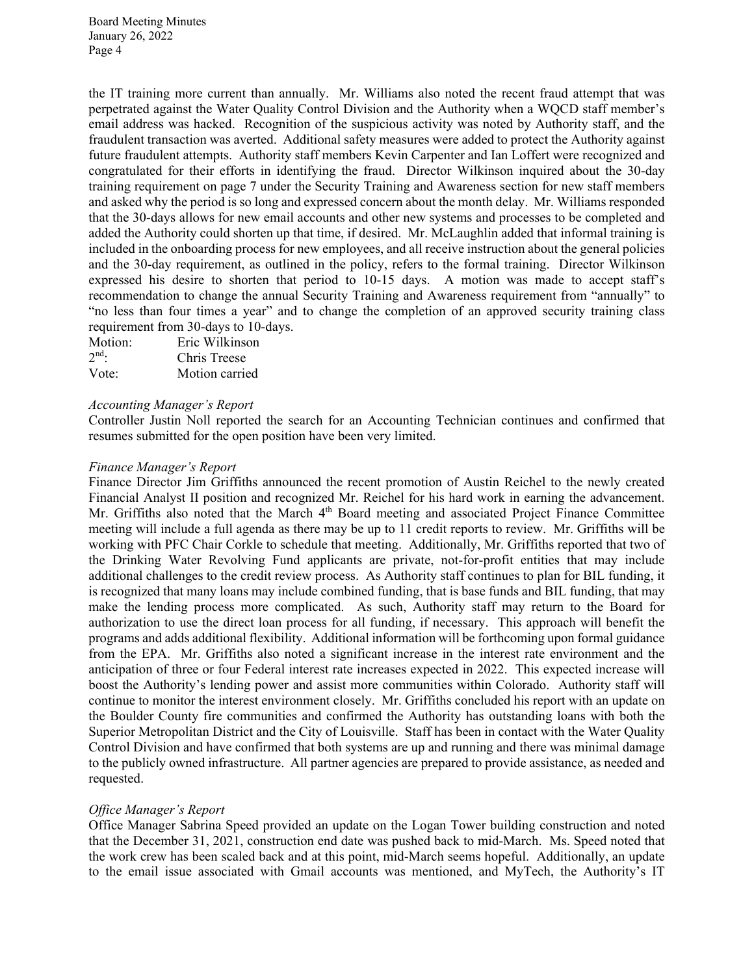the IT training more current than annually. Mr. Williams also noted the recent fraud attempt that was perpetrated against the Water Quality Control Division and the Authority when a WQCD staff member's email address was hacked. Recognition of the suspicious activity was noted by Authority staff, and the fraudulent transaction was averted. Additional safety measures were added to protect the Authority against future fraudulent attempts. Authority staff members Kevin Carpenter and Ian Loffert were recognized and congratulated for their efforts in identifying the fraud. Director Wilkinson inquired about the 30-day training requirement on page 7 under the Security Training and Awareness section for new staff members and asked why the period is so long and expressed concern about the month delay. Mr. Williams responded that the 30-days allows for new email accounts and other new systems and processes to be completed and added the Authority could shorten up that time, if desired. Mr. McLaughlin added that informal training is included in the onboarding process for new employees, and all receive instruction about the general policies and the 30-day requirement, as outlined in the policy, refers to the formal training. Director Wilkinson expressed his desire to shorten that period to 10-15 days. A motion was made to accept staff's recommendation to change the annual Security Training and Awareness requirement from "annually" to "no less than four times a year" and to change the completion of an approved security training class requirement from 30-days to 10-days.

| Motion:    | Eric Wilkinson |
|------------|----------------|
| $2^{nd}$ . | Chris Treese   |
| Vote:      | Motion carried |

#### *Accounting Manager's Report*

Controller Justin Noll reported the search for an Accounting Technician continues and confirmed that resumes submitted for the open position have been very limited.

#### *Finance Manager's Report*

Finance Director Jim Griffiths announced the recent promotion of Austin Reichel to the newly created Financial Analyst II position and recognized Mr. Reichel for his hard work in earning the advancement. Mr. Griffiths also noted that the March 4<sup>th</sup> Board meeting and associated Project Finance Committee meeting will include a full agenda as there may be up to 11 credit reports to review. Mr. Griffiths will be working with PFC Chair Corkle to schedule that meeting. Additionally, Mr. Griffiths reported that two of the Drinking Water Revolving Fund applicants are private, not-for-profit entities that may include additional challenges to the credit review process. As Authority staff continues to plan for BIL funding, it is recognized that many loans may include combined funding, that is base funds and BIL funding, that may make the lending process more complicated. As such, Authority staff may return to the Board for authorization to use the direct loan process for all funding, if necessary. This approach will benefit the programs and adds additional flexibility. Additional information will be forthcoming upon formal guidance from the EPA. Mr. Griffiths also noted a significant increase in the interest rate environment and the anticipation of three or four Federal interest rate increases expected in 2022. This expected increase will boost the Authority's lending power and assist more communities within Colorado. Authority staff will continue to monitor the interest environment closely. Mr. Griffiths concluded his report with an update on the Boulder County fire communities and confirmed the Authority has outstanding loans with both the Superior Metropolitan District and the City of Louisville. Staff has been in contact with the Water Quality Control Division and have confirmed that both systems are up and running and there was minimal damage to the publicly owned infrastructure. All partner agencies are prepared to provide assistance, as needed and requested.

#### *Office Manager's Report*

Office Manager Sabrina Speed provided an update on the Logan Tower building construction and noted that the December 31, 2021, construction end date was pushed back to mid-March. Ms. Speed noted that the work crew has been scaled back and at this point, mid-March seems hopeful. Additionally, an update to the email issue associated with Gmail accounts was mentioned, and MyTech, the Authority's IT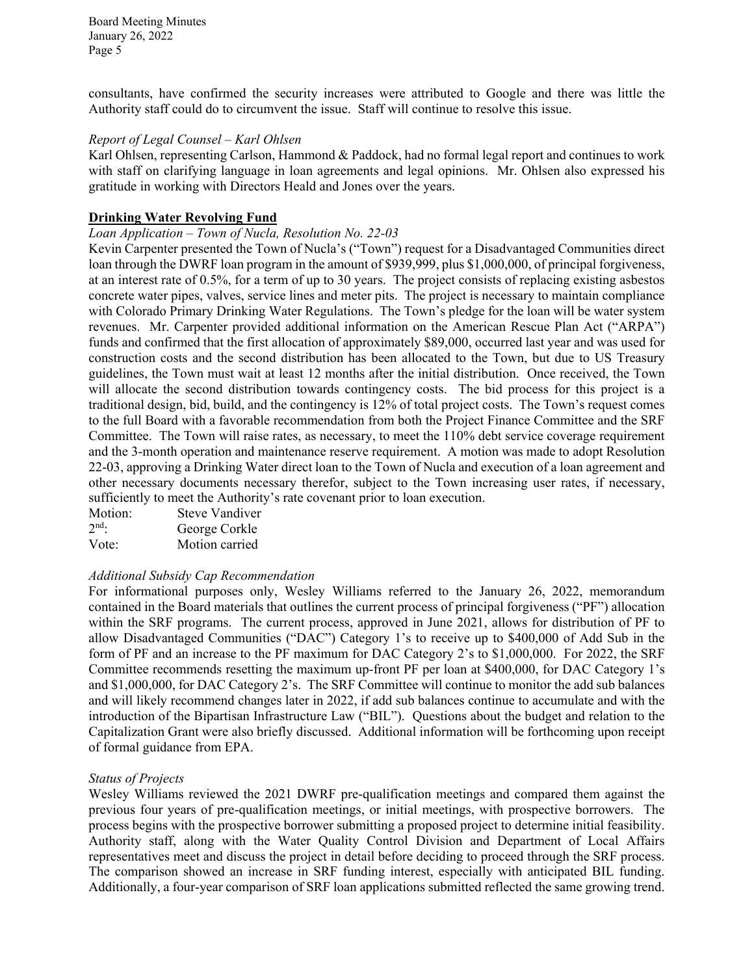consultants, have confirmed the security increases were attributed to Google and there was little the Authority staff could do to circumvent the issue. Staff will continue to resolve this issue.

# *Report of Legal Counsel – Karl Ohlsen*

Karl Ohlsen, representing Carlson, Hammond & Paddock, had no formal legal report and continues to work with staff on clarifying language in loan agreements and legal opinions. Mr. Ohlsen also expressed his gratitude in working with Directors Heald and Jones over the years.

# **Drinking Water Revolving Fund**

### *Loan Application – Town of Nucla, Resolution No. 22-03*

Kevin Carpenter presented the Town of Nucla's ("Town") request for a Disadvantaged Communities direct loan through the DWRF loan program in the amount of \$939,999, plus \$1,000,000, of principal forgiveness, at an interest rate of 0.5%, for a term of up to 30 years. The project consists of replacing existing asbestos concrete water pipes, valves, service lines and meter pits. The project is necessary to maintain compliance with Colorado Primary Drinking Water Regulations. The Town's pledge for the loan will be water system revenues. Mr. Carpenter provided additional information on the American Rescue Plan Act ("ARPA") funds and confirmed that the first allocation of approximately \$89,000, occurred last year and was used for construction costs and the second distribution has been allocated to the Town, but due to US Treasury guidelines, the Town must wait at least 12 months after the initial distribution. Once received, the Town will allocate the second distribution towards contingency costs. The bid process for this project is a traditional design, bid, build, and the contingency is 12% of total project costs. The Town's request comes to the full Board with a favorable recommendation from both the Project Finance Committee and the SRF Committee. The Town will raise rates, as necessary, to meet the 110% debt service coverage requirement and the 3-month operation and maintenance reserve requirement. A motion was made to adopt Resolution 22-03, approving a Drinking Water direct loan to the Town of Nucla and execution of a loan agreement and other necessary documents necessary therefor, subject to the Town increasing user rates, if necessary, sufficiently to meet the Authority's rate covenant prior to loan execution.

| Motion: | <b>Steve Vandiver</b> |
|---------|-----------------------|
| $2nd$ . | George Corkle         |
| Vote:   | Motion carried        |

# *Additional Subsidy Cap Recommendation*

For informational purposes only, Wesley Williams referred to the January 26, 2022, memorandum contained in the Board materials that outlines the current process of principal forgiveness ("PF") allocation within the SRF programs. The current process, approved in June 2021, allows for distribution of PF to allow Disadvantaged Communities ("DAC") Category 1's to receive up to \$400,000 of Add Sub in the form of PF and an increase to the PF maximum for DAC Category 2's to \$1,000,000. For 2022, the SRF Committee recommends resetting the maximum up-front PF per loan at \$400,000, for DAC Category 1's and \$1,000,000, for DAC Category 2's. The SRF Committee will continue to monitor the add sub balances and will likely recommend changes later in 2022, if add sub balances continue to accumulate and with the introduction of the Bipartisan Infrastructure Law ("BIL"). Questions about the budget and relation to the Capitalization Grant were also briefly discussed. Additional information will be forthcoming upon receipt of formal guidance from EPA.

#### *Status of Projects*

Wesley Williams reviewed the 2021 DWRF pre-qualification meetings and compared them against the previous four years of pre-qualification meetings, or initial meetings, with prospective borrowers. The process begins with the prospective borrower submitting a proposed project to determine initial feasibility. Authority staff, along with the Water Quality Control Division and Department of Local Affairs representatives meet and discuss the project in detail before deciding to proceed through the SRF process. The comparison showed an increase in SRF funding interest, especially with anticipated BIL funding. Additionally, a four-year comparison of SRF loan applications submitted reflected the same growing trend.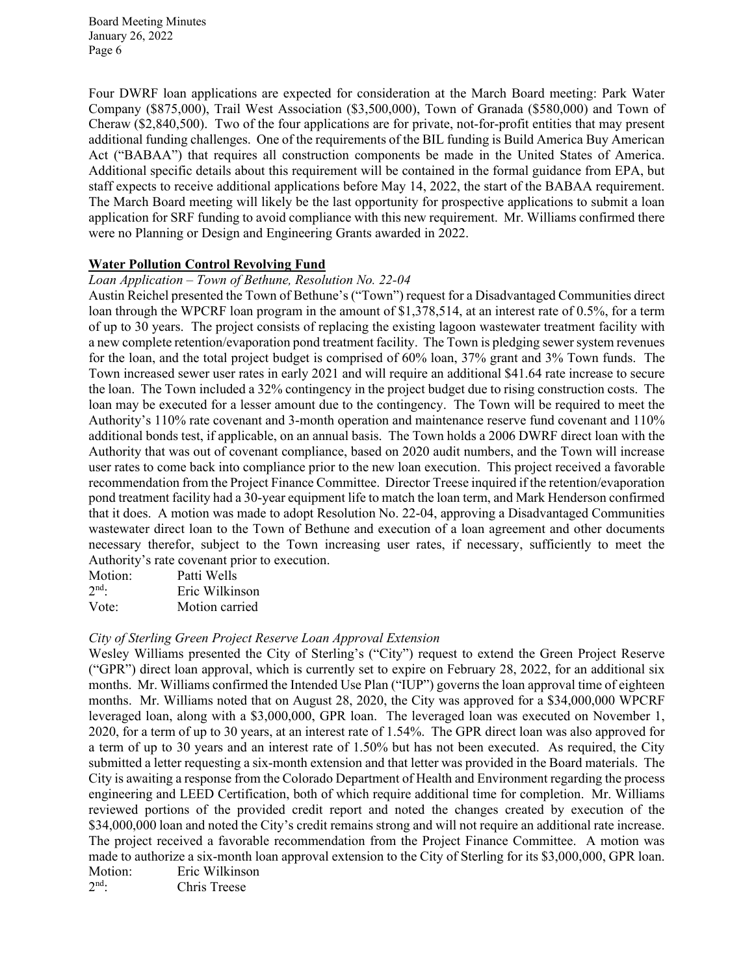Four DWRF loan applications are expected for consideration at the March Board meeting: Park Water Company (\$875,000), Trail West Association (\$3,500,000), Town of Granada (\$580,000) and Town of Cheraw (\$2,840,500). Two of the four applications are for private, not-for-profit entities that may present additional funding challenges. One of the requirements of the BIL funding is Build America Buy American Act ("BABAA") that requires all construction components be made in the United States of America. Additional specific details about this requirement will be contained in the formal guidance from EPA, but staff expects to receive additional applications before May 14, 2022, the start of the BABAA requirement. The March Board meeting will likely be the last opportunity for prospective applications to submit a loan application for SRF funding to avoid compliance with this new requirement. Mr. Williams confirmed there were no Planning or Design and Engineering Grants awarded in 2022.

#### **Water Pollution Control Revolving Fund**

#### *Loan Application – Town of Bethune, Resolution No. 22-04*

Austin Reichel presented the Town of Bethune's ("Town") request for a Disadvantaged Communities direct loan through the WPCRF loan program in the amount of \$1,378,514, at an interest rate of 0.5%, for a term of up to 30 years. The project consists of replacing the existing lagoon wastewater treatment facility with a new complete retention/evaporation pond treatment facility. The Town is pledging sewer system revenues for the loan, and the total project budget is comprised of 60% loan, 37% grant and 3% Town funds. The Town increased sewer user rates in early 2021 and will require an additional \$41.64 rate increase to secure the loan. The Town included a 32% contingency in the project budget due to rising construction costs. The loan may be executed for a lesser amount due to the contingency. The Town will be required to meet the Authority's 110% rate covenant and 3-month operation and maintenance reserve fund covenant and 110% additional bonds test, if applicable, on an annual basis. The Town holds a 2006 DWRF direct loan with the Authority that was out of covenant compliance, based on 2020 audit numbers, and the Town will increase user rates to come back into compliance prior to the new loan execution. This project received a favorable recommendation from the Project Finance Committee. Director Treese inquired if the retention/evaporation pond treatment facility had a 30-year equipment life to match the loan term, and Mark Henderson confirmed that it does. A motion was made to adopt Resolution No. 22-04, approving a Disadvantaged Communities wastewater direct loan to the Town of Bethune and execution of a loan agreement and other documents necessary therefor, subject to the Town increasing user rates, if necessary, sufficiently to meet the Authority's rate covenant prior to execution.

| Motion: | Patti Wells    |
|---------|----------------|
| $2nd$ . | Eric Wilkinson |
| Vote:   | Motion carried |

# *City of Sterling Green Project Reserve Loan Approval Extension*

Wesley Williams presented the City of Sterling's ("City") request to extend the Green Project Reserve ("GPR") direct loan approval, which is currently set to expire on February 28, 2022, for an additional six months. Mr. Williams confirmed the Intended Use Plan ("IUP") governs the loan approval time of eighteen months. Mr. Williams noted that on August 28, 2020, the City was approved for a \$34,000,000 WPCRF leveraged loan, along with a \$3,000,000, GPR loan. The leveraged loan was executed on November 1, 2020, for a term of up to 30 years, at an interest rate of 1.54%. The GPR direct loan was also approved for a term of up to 30 years and an interest rate of 1.50% but has not been executed. As required, the City submitted a letter requesting a six-month extension and that letter was provided in the Board materials. The City is awaiting a response from the Colorado Department of Health and Environment regarding the process engineering and LEED Certification, both of which require additional time for completion. Mr. Williams reviewed portions of the provided credit report and noted the changes created by execution of the \$34,000,000 loan and noted the City's credit remains strong and will not require an additional rate increase. The project received a favorable recommendation from the Project Finance Committee. A motion was made to authorize a six-month loan approval extension to the City of Sterling for its \$3,000,000, GPR loan. Motion: Eric Wilkinson<br>
2<sup>nd</sup>: Chris Treese

Chris Treese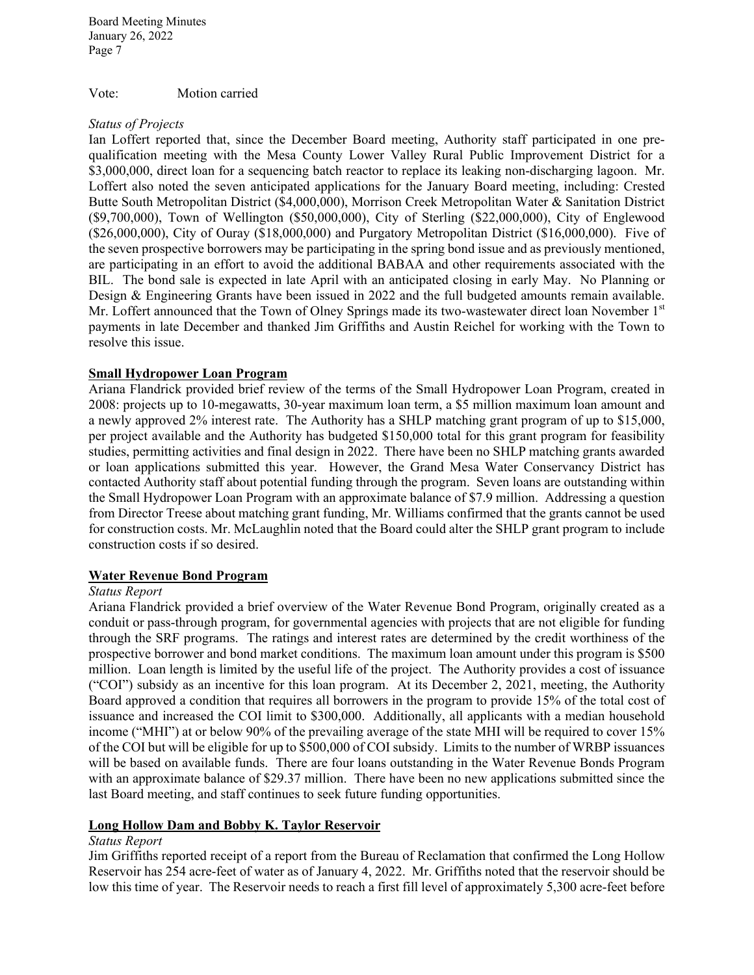Vote: Motion carried

#### *Status of Projects*

Ian Loffert reported that, since the December Board meeting, Authority staff participated in one prequalification meeting with the Mesa County Lower Valley Rural Public Improvement District for a \$3,000,000, direct loan for a sequencing batch reactor to replace its leaking non-discharging lagoon. Mr. Loffert also noted the seven anticipated applications for the January Board meeting, including: Crested Butte South Metropolitan District (\$4,000,000), Morrison Creek Metropolitan Water & Sanitation District (\$9,700,000), Town of Wellington (\$50,000,000), City of Sterling (\$22,000,000), City of Englewood (\$26,000,000), City of Ouray (\$18,000,000) and Purgatory Metropolitan District (\$16,000,000). Five of the seven prospective borrowers may be participating in the spring bond issue and as previously mentioned, are participating in an effort to avoid the additional BABAA and other requirements associated with the BIL. The bond sale is expected in late April with an anticipated closing in early May. No Planning or Design & Engineering Grants have been issued in 2022 and the full budgeted amounts remain available. Mr. Loffert announced that the Town of Olney Springs made its two-wastewater direct loan November 1st payments in late December and thanked Jim Griffiths and Austin Reichel for working with the Town to resolve this issue.

# **Small Hydropower Loan Program**

Ariana Flandrick provided brief review of the terms of the Small Hydropower Loan Program, created in 2008: projects up to 10-megawatts, 30-year maximum loan term, a \$5 million maximum loan amount and a newly approved 2% interest rate. The Authority has a SHLP matching grant program of up to \$15,000, per project available and the Authority has budgeted \$150,000 total for this grant program for feasibility studies, permitting activities and final design in 2022. There have been no SHLP matching grants awarded or loan applications submitted this year. However, the Grand Mesa Water Conservancy District has contacted Authority staff about potential funding through the program. Seven loans are outstanding within the Small Hydropower Loan Program with an approximate balance of \$7.9 million. Addressing a question from Director Treese about matching grant funding, Mr. Williams confirmed that the grants cannot be used for construction costs. Mr. McLaughlin noted that the Board could alter the SHLP grant program to include construction costs if so desired.

# **Water Revenue Bond Program**

# *Status Report*

Ariana Flandrick provided a brief overview of the Water Revenue Bond Program, originally created as a conduit or pass-through program, for governmental agencies with projects that are not eligible for funding through the SRF programs. The ratings and interest rates are determined by the credit worthiness of the prospective borrower and bond market conditions. The maximum loan amount under this program is \$500 million. Loan length is limited by the useful life of the project. The Authority provides a cost of issuance ("COI") subsidy as an incentive for this loan program. At its December 2, 2021, meeting, the Authority Board approved a condition that requires all borrowers in the program to provide 15% of the total cost of issuance and increased the COI limit to \$300,000. Additionally, all applicants with a median household income ("MHI") at or below 90% of the prevailing average of the state MHI will be required to cover 15% of the COI but will be eligible for up to \$500,000 of COI subsidy. Limits to the number of WRBP issuances will be based on available funds. There are four loans outstanding in the Water Revenue Bonds Program with an approximate balance of \$29.37 million. There have been no new applications submitted since the last Board meeting, and staff continues to seek future funding opportunities.

#### **Long Hollow Dam and Bobby K. Taylor Reservoir**

### *Status Report*

Jim Griffiths reported receipt of a report from the Bureau of Reclamation that confirmed the Long Hollow Reservoir has 254 acre-feet of water as of January 4, 2022. Mr. Griffiths noted that the reservoir should be low this time of year. The Reservoir needs to reach a first fill level of approximately 5,300 acre-feet before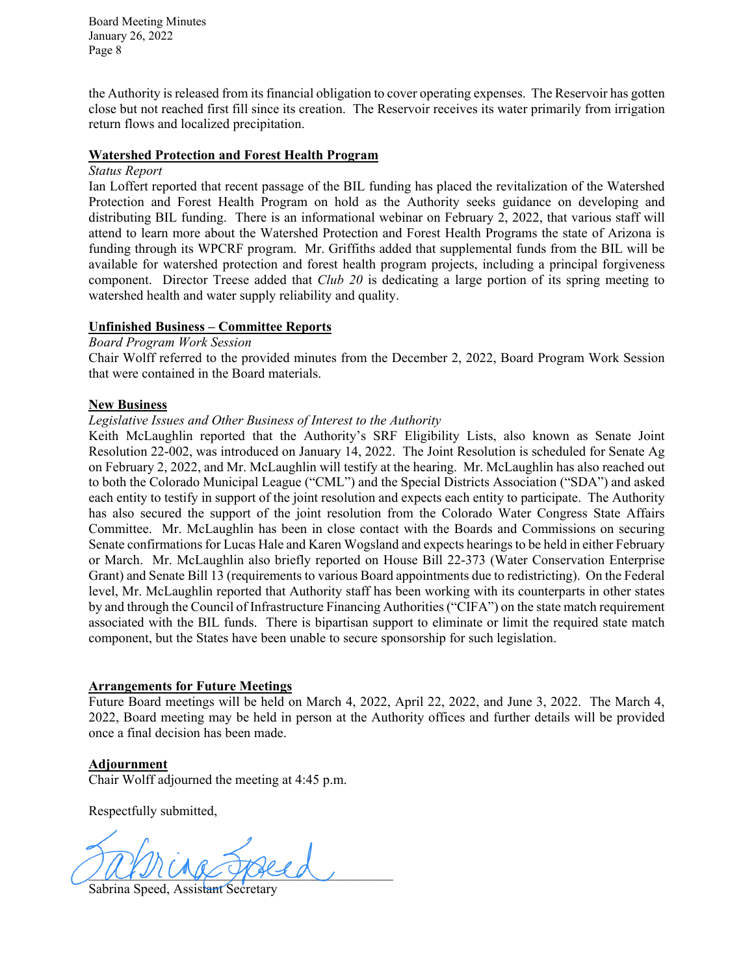the Authority is released from its financial obligation to cover operating expenses. The Reservoir has gotten close but not reached first fill since its creation. The Reservoir receives its water primarily from irrigation return flows and localized precipitation.

#### **Watershed Protection and Forest Health Program**

#### *Status Report*

Ian Loffert reported that recent passage of the BIL funding has placed the revitalization of the Watershed Protection and Forest Health Program on hold as the Authority seeks guidance on developing and distributing BIL funding. There is an informational webinar on February 2, 2022, that various staff will attend to learn more about the Watershed Protection and Forest Health Programs the state of Arizona is funding through its WPCRF program. Mr. Griffiths added that supplemental funds from the BIL will be available for watershed protection and forest health program projects, including a principal forgiveness component. Director Treese added that *Club 20* is dedicating a large portion of its spring meeting to watershed health and water supply reliability and quality.

# **Unfinished Business – Committee Reports**

*Board Program Work Session*

Chair Wolff referred to the provided minutes from the December 2, 2022, Board Program Work Session that were contained in the Board materials.

# **New Business**

#### *Legislative Issues and Other Business of Interest to the Authority*

Keith McLaughlin reported that the Authority's SRF Eligibility Lists, also known as Senate Joint Resolution 22-002, was introduced on January 14, 2022. The Joint Resolution is scheduled for Senate Ag on February 2, 2022, and Mr. McLaughlin will testify at the hearing. Mr. McLaughlin has also reached out to both the Colorado Municipal League ("CML") and the Special Districts Association ("SDA") and asked each entity to testify in support of the joint resolution and expects each entity to participate. The Authority has also secured the support of the joint resolution from the Colorado Water Congress State Affairs Committee. Mr. McLaughlin has been in close contact with the Boards and Commissions on securing Senate confirmations for Lucas Hale and Karen Wogsland and expects hearings to be held in either February or March. Mr. McLaughlin also briefly reported on House Bill 22-373 (Water Conservation Enterprise Grant) and Senate Bill 13 (requirements to various Board appointments due to redistricting). On the Federal level, Mr. McLaughlin reported that Authority staff has been working with its counterparts in other states by and through the Council of Infrastructure Financing Authorities("CIFA") on the state match requirement associated with the BIL funds. There is bipartisan support to eliminate or limit the required state match component, but the States have been unable to secure sponsorship for such legislation.

# **Arrangements for Future Meetings**

Future Board meetings will be held on March 4, 2022, April 22, 2022, and June 3, 2022. The March 4, 2022, Board meeting may be held in person at the Authority offices and further details will be provided once a final decision has been made.

# **Adjournment**

Chair Wolff adjourned the meeting at 4:45 p.m.

Respectfully submitted,

 $\frac{1}{2}$ 

Sabrina Speed, Assistant Secretary